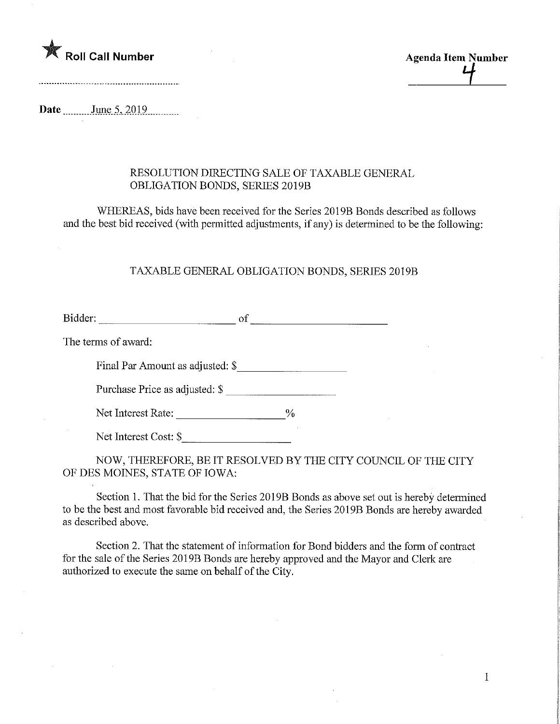

 $\frac{4}{\sqrt{2}}$ 

Date June 5, 2019

## RESOLUTION DIRECTmG SALE OF TAXABLE GENERAL OBLIGATION BONDS, SERIES 2019B

WHEREAS, bids have been received for the Series 2019B Bonds described as follows and the best bid received (with permitted adjustments, if any) is determined to be the following

## TAXABLE GENERAL OBLIGATION BONDS, SERIES 2019B

Bidder: of of the contract of the contract of the contract of the contract of the contract of the contract of the contract of the contract of the contract of the contract of the contract of the contract of the contract of

The terms of award:

Final Par Amount as adjusted: \$

Purchase Price as adjusted: \$

Net Interest Rate:  $\frac{6}{6}$ 

Net Interest Cost: \$

NOW, THEREFORE, BE IT RESOLVED BY THE CITY COUNCIL OF THE CITY OF DES MOINES, STATE OF IOWA:

Section 1. That the bid for the Series 2019B Bonds as above set out is hereby determined to be the best and most favorable bid received and, the Series 2019B Bonds are hereby awarded as described above.

Section 2. That the statement of information for Bond bidders and the form of contract for the sale of the Series 2019B Bonds are hereby approved and the Mayor and Clerk are authorized to execute the same on behalf of the City.